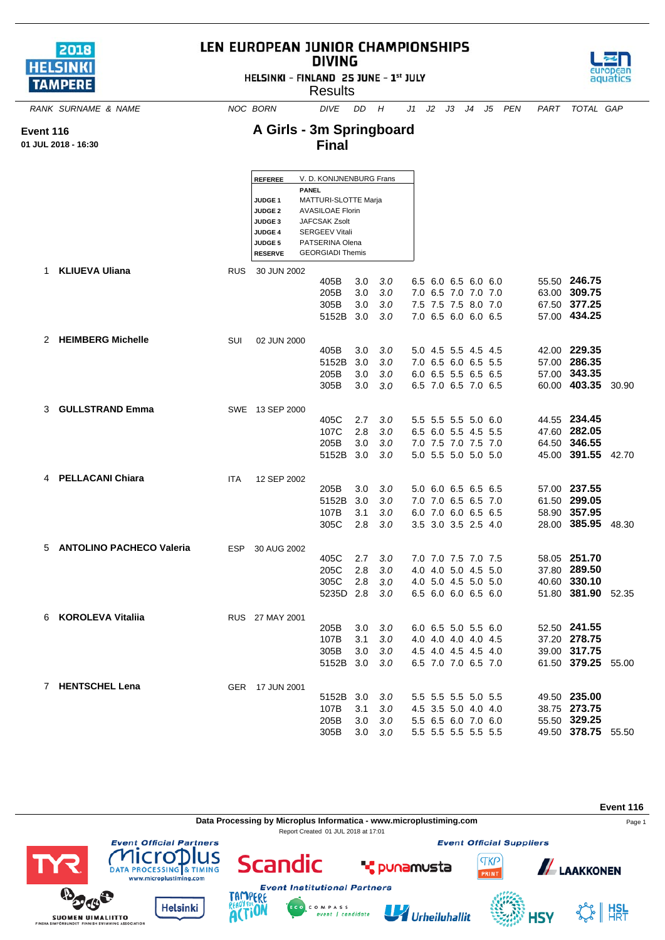| 2018<br><b>HELSINKI</b><br><b>TAMPERE</b> | LEN EUROPEAN JUNIOR CHAMPIONSHIPS<br>HELSINKI - FINLAND 25 JUNE - 1st JULY |                                                                                                                                     | aquatics                                                                                                                                                            |                          |                          |                                                                                          |  |                    |      |                                                                    |       |
|-------------------------------------------|----------------------------------------------------------------------------|-------------------------------------------------------------------------------------------------------------------------------------|---------------------------------------------------------------------------------------------------------------------------------------------------------------------|--------------------------|--------------------------|------------------------------------------------------------------------------------------|--|--------------------|------|--------------------------------------------------------------------|-------|
| RANK SURNAME & NAME                       |                                                                            | NOC BORN                                                                                                                            | <b>DIVE</b>                                                                                                                                                         | DD                       | H                        |                                                                                          |  | J1 J2 J3 J4 J5 PEN | PART | TOTAL GAP                                                          |       |
| Event 116<br>01 JUL 2018 - 16:30          |                                                                            | A Girls - 3m Springboard                                                                                                            | <b>Final</b>                                                                                                                                                        |                          |                          |                                                                                          |  |                    |      |                                                                    |       |
|                                           |                                                                            | <b>REFEREE</b><br>PANEL<br><b>JUDGE 1</b><br><b>JUDGE 2</b><br><b>JUDGE 3</b><br><b>JUDGE 4</b><br><b>JUDGE 5</b><br><b>RESERVE</b> | V. D. KONIJNENBURG Frans<br>MATTURI-SLOTTE Marja<br><b>AVASILOAE Florin</b><br>JAFCSAK Zsolt<br><b>SERGEEV Vitali</b><br>PATSERINA Olena<br><b>GEORGIADI Themis</b> |                          |                          |                                                                                          |  |                    |      |                                                                    |       |
| <b>KLIUEVA Uliana</b><br>1                | <b>RUS</b>                                                                 | 30 JUN 2002                                                                                                                         | 405B<br>205B<br>305B<br>5152B 3.0                                                                                                                                   | 3.0<br>3.0<br>3.0        | 3.0<br>3.0<br>3.0<br>3.0 | 6.5 6.0 6.5 6.0 6.0<br>7.0 6.5 7.0 7.0 7.0<br>7.5 7.5 7.5 8.0 7.0<br>7.0 6.5 6.0 6.0 6.5 |  |                    |      | 55.50 246.75<br>63.00 309.75<br>67.50 377.25<br>57.00 434.25       |       |
| 2 HEIMBERG Michelle                       | SUI                                                                        | 02 JUN 2000                                                                                                                         | 405B<br>5152B<br>205B<br>305B                                                                                                                                       | 3.0<br>3.0<br>3.0<br>3.0 | 3.0<br>3.0<br>3.0<br>3.0 | 5.0 4.5 5.5 4.5 4.5<br>7.0 6.5 6.0 6.5 5.5<br>6.0 6.5 5.5 6.5 6.5<br>6.5 7.0 6.5 7.0 6.5 |  |                    |      | 42.00 229.35<br>57.00 286.35<br>57.00 343.35<br>60.00 403.35       | 30.90 |
| <b>GULLSTRAND Emma</b><br>3               |                                                                            | SWE 13 SEP 2000                                                                                                                     | 405C<br>107C<br>205B<br>5152B 3.0                                                                                                                                   | 2.7<br>2.8<br>3.0        | 3.0<br>3.0<br>3.0<br>3.0 | 5.5 5.5 5.5 5.0 6.0<br>6.5 6.0 5.5 4.5 5.5<br>7.0 7.5 7.0 7.5 7.0<br>5.0 5.5 5.0 5.0 5.0 |  |                    |      | 44.55 234.45<br>47.60 282.05<br>64.50 346.55<br>45.00 391.55 42.70 |       |
| 4 PELLACANI Chiara                        | <b>ITA</b>                                                                 | 12 SEP 2002                                                                                                                         | 205B<br>5152B<br>107B<br>305C                                                                                                                                       | 3.0<br>3.0<br>3.1<br>2.8 | 3.0<br>3.0<br>3.0<br>3.0 | 5.0 6.0 6.5 6.5 6.5<br>7.0 7.0 6.5 6.5 7.0<br>6.0 7.0 6.0 6.5 6.5<br>3.5 3.0 3.5 2.5 4.0 |  |                    |      | 57.00 237.55<br>61.50 299.05<br>58.90 357.95<br>28.00 385.95       | 48.30 |
| 5 ANTOLINO PACHECO Valeria                |                                                                            | ESP 30 AUG 2002                                                                                                                     | 405C<br>205C<br>305C<br>5235D 2.8                                                                                                                                   | 2.7<br>2.8<br>2.8        | 3.0<br>3.0<br>3.0<br>3.0 | 7.0 7.0 7.5 7.0 7.5<br>4.0 4.0 5.0 4.5 5.0<br>4.0 5.0 4.5 5.0 5.0<br>6.5 6.0 6.0 6.5 6.0 |  |                    |      | 58.05 251.70<br>37.80 289.50<br>40.60 330.10<br>51.80 381.90 52.35 |       |
| 6 KOROLEVA Vitaliia                       |                                                                            | RUS 27 MAY 2001                                                                                                                     | 205B<br>107B<br>305B<br>5152B 3.0                                                                                                                                   | 3.0<br>3.1<br>3.0        | 3.0<br>3.0<br>3.0<br>3.0 | 6.0 6.5 5.0 5.5 6.0<br>4.0 4.0 4.0 4.0 4.5<br>4.5 4.0 4.5 4.5 4.0<br>6.5 7.0 7.0 6.5 7.0 |  |                    |      | 52.50 241.55<br>37.20 278.75<br>39.00 317.75<br>61.50 379.25 55.00 |       |
| 7 HENTSCHEL Lena                          |                                                                            | GER 17 JUN 2001                                                                                                                     |                                                                                                                                                                     |                          |                          |                                                                                          |  |                    |      |                                                                    |       |

LEN EUROPEAN JUNIOR CHAMPIONSHIPS



5152B 3.0 *3.0* 5.5 5.5 5.5 5.0 5.5 49.50 **235.00**

205B 3.0 *3.0* 5.5 6.5 6.0 7.0 6.0 55.50 **329.25** 305B 3.0 *3.0* 5.5 5.5 5.5 5.5 5.5 49.50 **378.75** 55.50

107B 3.1 3.0 4.5 3.5 5.0 4.0 4.0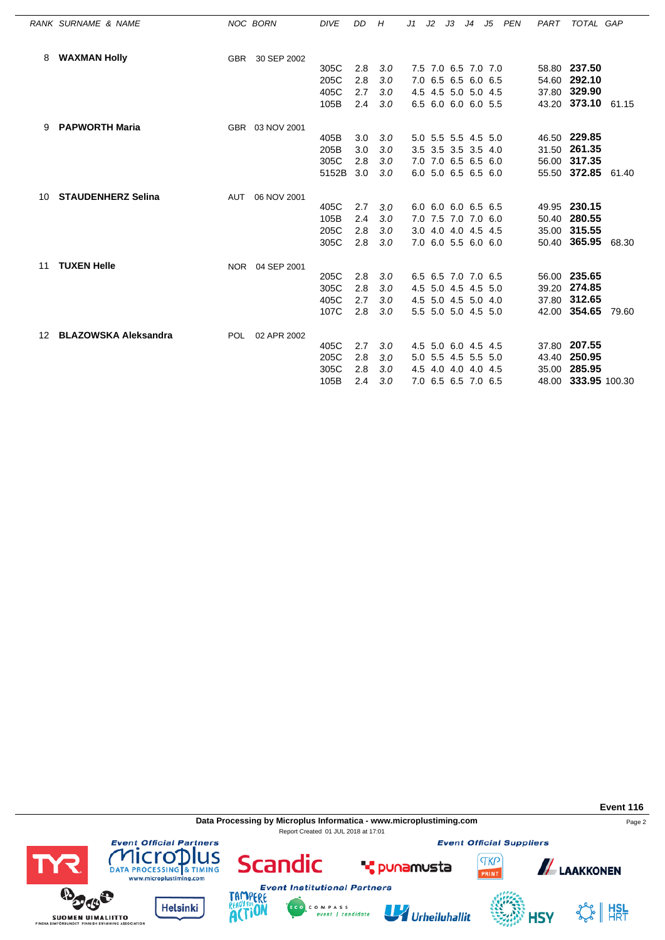|     | RANK SURNAME & NAME         |            | <b>NOC BORN</b> | <b>DIVE</b> | DD  | Н   | J1 | J2 | J3 | J4                  | J5 | PEN | PART | TOTAL GAP           |       |
|-----|-----------------------------|------------|-----------------|-------------|-----|-----|----|----|----|---------------------|----|-----|------|---------------------|-------|
|     | <b>WAXMAN Holly</b>         | <b>GBR</b> | 30 SEP 2002     |             |     |     |    |    |    |                     |    |     |      |                     |       |
|     |                             |            |                 | 305C        | 2.8 | 3.0 |    |    |    | 7.5 7.0 6.5 7.0 7.0 |    |     |      | 58.80 237.50        |       |
|     |                             |            |                 | 205C        | 2.8 | 3.0 |    |    |    | 7.0 6.5 6.5 6.0 6.5 |    |     |      | 54.60 292.10        |       |
|     |                             |            |                 | 405C        | 2.7 | 3.0 |    |    |    | 4.5 4.5 5.0 5.0 4.5 |    |     |      | 37.80 329.90        |       |
|     |                             |            |                 | 105B        | 2.4 | 3.0 |    |    |    | 6.5 6.0 6.0 6.0 5.5 |    |     |      | 43.20 373.10 61.15  |       |
| 9   | <b>PAPWORTH Maria</b>       |            | GBR 03 NOV 2001 |             |     |     |    |    |    |                     |    |     |      |                     |       |
|     |                             |            |                 | 405B        | 3.0 | 3.0 |    |    |    | 5.0 5.5 5.5 4.5 5.0 |    |     |      | 46.50 229.85        |       |
|     |                             |            |                 | 205B        | 3.0 | 3.0 |    |    |    | 3.5 3.5 3.5 3.5 4.0 |    |     |      | 31.50 261.35        |       |
|     |                             |            |                 | 305C        | 2.8 | 3.0 |    |    |    | 7.0 7.0 6.5 6.5 6.0 |    |     |      | 56.00 317.35        |       |
|     |                             |            |                 | 5152B       | 3.0 | 3.0 |    |    |    | 6.0 5.0 6.5 6.5 6.0 |    |     |      | 55.50 372.85        | 61.40 |
| 10. | <b>STAUDENHERZ Selina</b>   | AUT        | 06 NOV 2001     |             |     |     |    |    |    |                     |    |     |      |                     |       |
|     |                             |            |                 | 405C        | 2.7 | 3.0 |    |    |    | 6.0 6.0 6.0 6.5 6.5 |    |     |      | 49.95 230.15        |       |
|     |                             |            |                 | 105B        | 2.4 | 3.0 |    |    |    | 7.0 7.5 7.0 7.0 6.0 |    |     |      | 50.40 280.55        |       |
|     |                             |            |                 | 205C        | 2.8 | 3.0 |    |    |    | 3.0 4.0 4.0 4.5 4.5 |    |     |      | 35.00 315.55        |       |
|     |                             |            |                 | 305C        | 2.8 | 3.0 |    |    |    | 7.0 6.0 5.5 6.0 6.0 |    |     |      | 50.40 365.95 68.30  |       |
| 11  | <b>TUXEN Helle</b>          |            | NOR 04 SEP 2001 |             |     |     |    |    |    |                     |    |     |      |                     |       |
|     |                             |            |                 | 205C        | 2.8 | 3.0 |    |    |    | 6.5 6.5 7.0 7.0 6.5 |    |     |      | 56.00 235.65        |       |
|     |                             |            |                 | 305C        | 2.8 | 3.0 |    |    |    | 4.5 5.0 4.5 4.5 5.0 |    |     |      | 39.20 274.85        |       |
|     |                             |            |                 | 405C        | 2.7 | 3.0 |    |    |    | 4.5 5.0 4.5 5.0 4.0 |    |     |      | 37.80 312.65        |       |
|     |                             |            |                 | 107C        | 2.8 | 3.0 |    |    |    | 5.5 5.0 5.0 4.5 5.0 |    |     |      | 42.00 354.65        | 79.60 |
| 12  | <b>BLAZOWSKA Aleksandra</b> | <b>POL</b> | 02 APR 2002     |             |     |     |    |    |    |                     |    |     |      |                     |       |
|     |                             |            |                 | 405C        | 2.7 | 3.0 |    |    |    | 4.5 5.0 6.0 4.5 4.5 |    |     |      | 37.80 207.55        |       |
|     |                             |            |                 | 205C        | 2.8 | 3.0 |    |    |    | 5.0 5.5 4.5 5.5 5.0 |    |     |      | 43.40 250.95        |       |
|     |                             |            |                 | 305C        | 2.8 | 3.0 |    |    |    | 4.5 4.0 4.0 4.0 4.5 |    |     |      | 35.00 285.95        |       |
|     |                             |            |                 | 105B        | 2.4 | 3.0 |    |    |    | 7.0 6.5 6.5 7.0 6.5 |    |     |      | 48.00 333.95 100.30 |       |

**Data Processing by Microplus Informatica - www.microplustiming.com** Page 2 Report Created 01 JUL 2018 at 17:01

C O M P A S S<br>event | candidate

**Event Official Suppliers** 

**TKP** 

**Event 116**





**Scandic** 

Urheiluhallit

**T** punamusta



**ALAAKKONEN**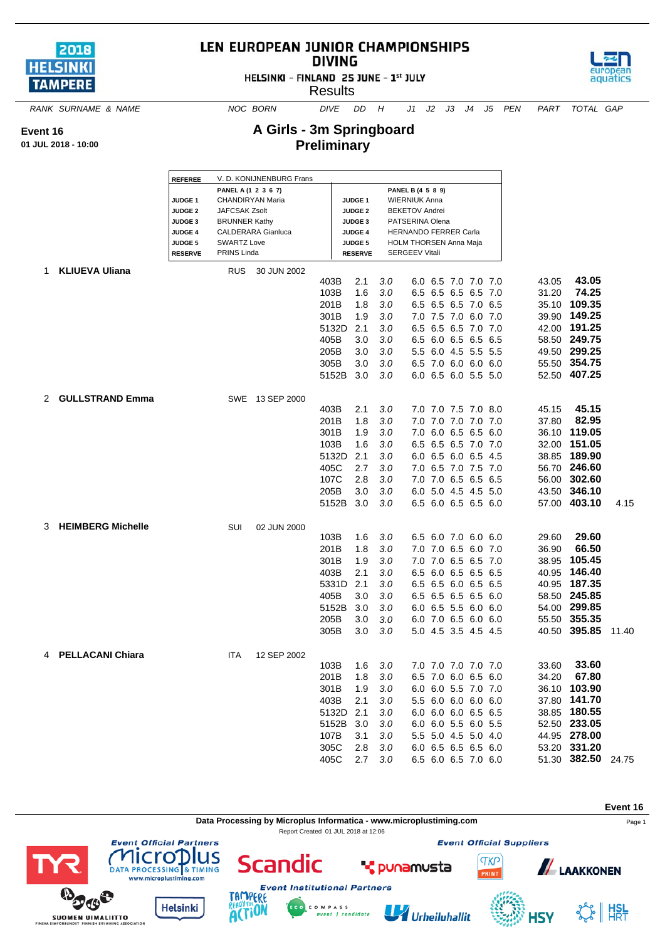

**Event 16 01 JUL 2018 - 10:00**

## LEN EUROPEAN JUNIOR CHAMPIONSHIPS **DIVING**

HELSINKI - FINLAND 25 JUNE - 1st JULY

**Results** 



*RANK SURNAME & NAME NOC BORN DIVE DD H J1 J2 J3 J4 J5 PEN PART TOTAL GAP*

 $\Gamma$ 

## **A Girls - 3m Springboard Preliminary**

|    |                          | V. D. KONIJNENBURG Frans<br><b>REFEREE</b> |                           |                 |           |                   |     |                        |                     |  |  |  |       |                    |       |
|----|--------------------------|--------------------------------------------|---------------------------|-----------------|-----------|-------------------|-----|------------------------|---------------------|--|--|--|-------|--------------------|-------|
|    |                          |                                            | PANEL A (1 2 3 6 7)       |                 |           | PANEL B (4 5 8 9) |     |                        |                     |  |  |  |       |                    |       |
|    |                          | JUDGE <sub>1</sub>                         | CHANDIRYAN Maria          |                 |           | <b>JUDGE1</b>     |     | <b>WIERNIUK Anna</b>   |                     |  |  |  |       |                    |       |
|    |                          | <b>JUDGE 2</b>                             | <b>JAFCSAK Zsolt</b>      |                 |           | <b>JUDGE 2</b>    |     | <b>BEKETOV Andrei</b>  |                     |  |  |  |       |                    |       |
|    |                          | <b>JUDGE 3</b>                             | <b>BRUNNER Kathy</b>      |                 |           | JUDGE 3           |     | PATSERINA Olena        |                     |  |  |  |       |                    |       |
|    |                          | <b>JUDGE 4</b>                             | <b>CALDERARA Gianluca</b> |                 |           | <b>JUDGE 4</b>    |     | HERNANDO FERRER Carla  |                     |  |  |  |       |                    |       |
|    |                          | <b>JUDGE 5</b>                             | <b>SWARTZ Love</b>        |                 |           | <b>JUDGE 5</b>    |     | HOLM THORSEN Anna Maja |                     |  |  |  |       |                    |       |
|    |                          | <b>RESERVE</b>                             | PRINS Linda               |                 |           | <b>RESERVE</b>    |     | <b>SERGEEV Vitali</b>  |                     |  |  |  |       |                    |       |
| 1. | <b>KLIUEVA Uliana</b>    |                                            | <b>RUS</b>                | 30 JUN 2002     |           |                   |     |                        |                     |  |  |  |       |                    |       |
|    |                          |                                            |                           |                 | 403B      | 2.1               | 3.0 |                        | 6.0 6.5 7.0 7.0 7.0 |  |  |  | 43.05 | 43.05              |       |
|    |                          |                                            |                           |                 | 103B      | 1.6               | 3.0 |                        | 6.5 6.5 6.5 6.5 7.0 |  |  |  | 31.20 | 74.25              |       |
|    |                          |                                            |                           |                 | 201B      | 1.8               | 3.0 |                        | 6.5 6.5 6.5 7.0 6.5 |  |  |  | 35.10 | 109.35             |       |
|    |                          |                                            |                           |                 | 301B      | 1.9               | 3.0 |                        | 7.0 7.5 7.0 6.0 7.0 |  |  |  | 39.90 | 149.25             |       |
|    |                          |                                            |                           |                 | 5132D     | 2.1               | 3.0 |                        | 6.5 6.5 6.5 7.0 7.0 |  |  |  | 42.00 | 191.25             |       |
|    |                          |                                            |                           |                 | 405B      | 3.0               | 3.0 |                        | 6.5 6.0 6.5 6.5 6.5 |  |  |  |       | 58.50 249.75       |       |
|    |                          |                                            |                           |                 | 205B      | 3.0               | 3.0 |                        | 5.5 6.0 4.5 5.5 5.5 |  |  |  |       | 49.50 299.25       |       |
|    |                          |                                            |                           |                 | 305B      | 3.0               | 3.0 |                        | 6.5 7.0 6.0 6.0 6.0 |  |  |  |       | 55.50 354.75       |       |
|    |                          |                                            |                           |                 | 5152B     |                   |     |                        |                     |  |  |  |       | 52.50 407.25       |       |
|    |                          |                                            |                           |                 |           | 3.0               | 3.0 |                        | 6.0 6.5 6.0 5.5 5.0 |  |  |  |       |                    |       |
|    |                          |                                            |                           | SWE 13 SEP 2000 |           |                   |     |                        |                     |  |  |  |       |                    |       |
| 2  | <b>GULLSTRAND Emma</b>   |                                            |                           |                 | 403B      | 2.1               | 3.0 |                        | 7.0 7.0 7.5 7.0 8.0 |  |  |  | 45.15 | 45.15              |       |
|    |                          |                                            |                           |                 | 201B      |                   |     |                        | 7.0 7.0 7.0 7.0 7.0 |  |  |  |       | 82.95              |       |
|    |                          |                                            |                           |                 |           | 1.8               | 3.0 |                        |                     |  |  |  | 37.80 |                    |       |
|    |                          |                                            |                           |                 | 301B      | 1.9               | 3.0 |                        | 7.0 6.0 6.5 6.5 6.0 |  |  |  | 36.10 | 119.05             |       |
|    |                          |                                            |                           |                 | 103B      | 1.6               | 3.0 |                        | 6.5 6.5 6.5 7.0 7.0 |  |  |  | 32.00 | 151.05             |       |
|    |                          |                                            |                           |                 | 5132D     | 2.1               | 3.0 |                        | 6.0 6.5 6.0 6.5 4.5 |  |  |  |       | 38.85 189.90       |       |
|    |                          |                                            |                           |                 | 405C      | 2.7               | 3.0 |                        | 7.0 6.5 7.0 7.5 7.0 |  |  |  |       | 56.70 246.60       |       |
|    |                          |                                            |                           |                 | 107C      | 2.8               | 3.0 |                        | 7.0 7.0 6.5 6.5 6.5 |  |  |  | 56.00 | 302.60             |       |
|    |                          |                                            |                           |                 | 205B      | 3.0               | 3.0 |                        | 6.0 5.0 4.5 4.5 5.0 |  |  |  |       | 43.50 346.10       |       |
|    |                          |                                            |                           |                 | 5152B     | 3.0               | 3.0 |                        | 6.5 6.0 6.5 6.5 6.0 |  |  |  |       | 57.00 403.10       | 4.15  |
|    |                          |                                            |                           |                 |           |                   |     |                        |                     |  |  |  |       |                    |       |
| 3  | <b>HEIMBERG Michelle</b> |                                            | SUI                       | 02 JUN 2000     |           |                   |     |                        |                     |  |  |  |       |                    |       |
|    |                          |                                            |                           |                 | 103B      | 1.6               | 3.0 |                        | 6.5 6.0 7.0 6.0 6.0 |  |  |  | 29.60 | 29.60              |       |
|    |                          |                                            |                           |                 | 201B      | 1.8               | 3.0 |                        | 7.0 7.0 6.5 6.0 7.0 |  |  |  | 36.90 | 66.50              |       |
|    |                          |                                            |                           |                 | 301B      | 1.9               | 3.0 |                        | 7.0 7.0 6.5 6.5 7.0 |  |  |  | 38.95 | 105.45             |       |
|    |                          |                                            |                           |                 | 403B      | 2.1               | 3.0 |                        | 6.5 6.0 6.5 6.5 6.5 |  |  |  | 40.95 | 146.40             |       |
|    |                          |                                            |                           |                 | 5331D     | 2.1               | 3.0 |                        | 6.5 6.5 6.0 6.5 6.5 |  |  |  |       | 40.95 187.35       |       |
|    |                          |                                            |                           |                 | 405B      | 3.0               | 3.0 |                        | 6.5 6.5 6.5 6.5 6.0 |  |  |  |       | 58.50 245.85       |       |
|    |                          |                                            |                           |                 | 5152B     | 3.0               | 3.0 |                        | 6.0 6.5 5.5 6.0 6.0 |  |  |  |       | 54.00 299.85       |       |
|    |                          |                                            |                           |                 | 205B      | 3.0               | 3.0 |                        | 6.0 7.0 6.5 6.0 6.0 |  |  |  |       | 55.50 355.35       |       |
|    |                          |                                            |                           |                 | 305B      | 3.0               | 3.0 |                        | 5.0 4.5 3.5 4.5 4.5 |  |  |  |       | 40.50 395.85       | 11.40 |
|    |                          |                                            |                           |                 |           |                   |     |                        |                     |  |  |  |       |                    |       |
|    | 4 PELLACANI Chiara       |                                            | ITA                       | 12 SEP 2002     |           |                   |     |                        |                     |  |  |  |       |                    |       |
|    |                          |                                            |                           |                 | 103B      | 1.6               | 3.0 |                        | 7.0 7.0 7.0 7.0 7.0 |  |  |  | 33.60 | 33.60              |       |
|    |                          |                                            |                           |                 | 201B      | 1.8               | 3.0 |                        | 6.5 7.0 6.0 6.5 6.0 |  |  |  |       | 34.20 67.80        |       |
|    |                          |                                            |                           |                 | 301B      | 1.9               | 3.0 |                        | 6.0 6.0 5.5 7.0 7.0 |  |  |  |       | 36.10 103.90       |       |
|    |                          |                                            |                           |                 | 403B      | 2.1               | 3.0 |                        | 5.5 6.0 6.0 6.0 6.0 |  |  |  |       | 37.80 141.70       |       |
|    |                          |                                            |                           |                 | 5132D 2.1 |                   | 3.0 |                        | 6.0 6.0 6.0 6.5 6.5 |  |  |  |       | 38.85 180.55       |       |
|    |                          |                                            |                           |                 | 5152B 3.0 |                   | 3.0 |                        | 6.0 6.0 5.5 6.0 5.5 |  |  |  |       | 52.50 233.05       |       |
|    |                          |                                            |                           |                 | 107B      | 3.1               | 3.0 |                        | 5.5 5.0 4.5 5.0 4.0 |  |  |  |       | 44.95 278.00       |       |
|    |                          |                                            |                           |                 | 305C      | 2.8               | 3.0 |                        | 6.0 6.5 6.5 6.5 6.0 |  |  |  |       | 53.20 331.20       |       |
|    |                          |                                            |                           |                 | 405C      | 2.7               | 3.0 |                        | 6.5 6.0 6.5 7.0 6.0 |  |  |  |       | 51.30 382.50 24.75 |       |
|    |                          |                                            |                           |                 |           |                   |     |                        |                     |  |  |  |       |                    |       |

**Data Processing by Microplus Informatica - www.microplustiming.com** Page 1

Report Created 01 JUL 2018 at 12:06

**Event 16**

 $\frac{1}{2}$   $\frac{1}{2}$   $\frac{1}{2}$ 











lus



C O M P A S S<br>event | candidate U Urheiluhallit

**T** punamusta



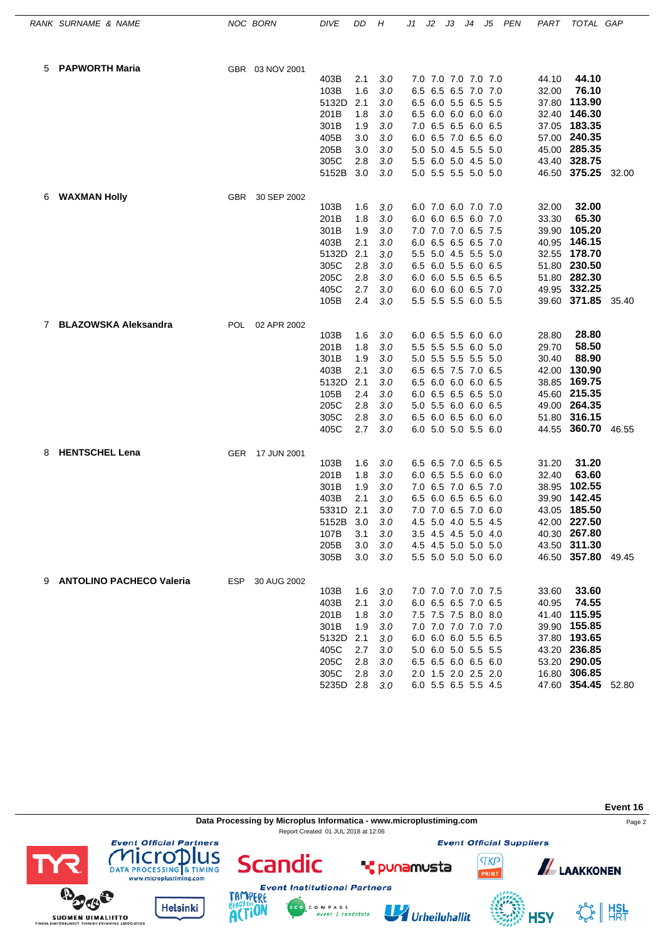|   | RANK SURNAME & NAME         |            | NOC BORN        | <b>DIVE</b>       | DD         | Η          | J1  | J2 | JЗ                                         | J4 | J5  | PEN | PART  | TOTAL GAP                           |       |
|---|-----------------------------|------------|-----------------|-------------------|------------|------------|-----|----|--------------------------------------------|----|-----|-----|-------|-------------------------------------|-------|
| 5 | <b>PAPWORTH Maria</b>       |            | GBR 03 NOV 2001 |                   |            |            |     |    |                                            |    |     |     |       |                                     |       |
|   |                             |            |                 | 403B              | 2.1        | 3.0        |     |    | 7.0 7.0 7.0 7.0 7.0                        |    |     |     | 44.10 | 44.10                               |       |
|   |                             |            |                 | 103B              | 1.6        | 3.0        | 6.5 |    | 6.5 6.5 7.0 7.0                            |    |     |     | 32.00 | 76.10                               |       |
|   |                             |            |                 | 5132D             | 2.1        | 3.0        |     |    | 6.5 6.0 5.5 6.5 5.5                        |    |     |     | 37.80 | 113.90                              |       |
|   |                             |            |                 | 201B              | 1.8        | 3.0        |     |    | 6.5 6.0 6.0 6.0 6.0                        |    |     |     |       | 32.40 146.30                        |       |
|   |                             |            |                 | 301B              | 1.9        | 3.0        |     |    | 7.0 6.5 6.5 6.0 6.5                        |    |     |     |       | 37.05 183.35                        |       |
|   |                             |            |                 | 405B              | 3.0        | 3.0        | 6.0 |    | 6.5 7.0 6.5                                |    | 6.0 |     | 57.00 | 240.35                              |       |
|   |                             |            |                 | 205B              | 3.0        | 3.0        |     |    | 5.0 5.0 4.5 5.5 5.0                        |    |     |     | 45.00 | 285.35                              |       |
|   |                             |            |                 | 305C              | 2.8        | 3.0        |     |    | 5.5 6.0 5.0 4.5 5.0                        |    |     |     |       | 43.40 328.75                        |       |
|   |                             |            |                 | 5152B             | 3.0        | 3.0        |     |    | 5.0 5.5 5.5 5.0 5.0                        |    |     |     |       | 46.50 375.25                        | 32.00 |
| 6 | <b>WAXMAN Holly</b>         | <b>GBR</b> | 30 SEP 2002     |                   |            |            |     |    |                                            |    |     |     |       |                                     |       |
|   |                             |            |                 | 103B              | 1.6        | 3.0        |     |    | 6.0 7.0 6.0 7.0 7.0                        |    |     |     | 32.00 | 32.00                               |       |
|   |                             |            |                 | 201B              | 1.8        | 3.0        |     |    | 6.0 6.0 6.5 6.0 7.0                        |    |     |     | 33.30 | 65.30                               |       |
|   |                             |            |                 | 301B              | 1.9        | 3.0        |     |    | 7.0 7.0 7.0 6.5 7.5                        |    |     |     | 39.90 | 105.20                              |       |
|   |                             |            |                 | 403B              | 2.1        | 3.0        |     |    | 6.0 6.5 6.5 6.5 7.0                        |    |     |     | 40.95 | 146.15                              |       |
|   |                             |            |                 | 5132D             | 2.1        | 3.0        |     |    | 5.5 5.0 4.5 5.5 5.0                        |    |     |     | 32.55 | 178.70                              |       |
|   |                             |            |                 | 305C<br>205C      | 2.8<br>2.8 | 3.0<br>3.0 |     |    | 6.5 6.0 5.5 6.0 6.5<br>6.0 6.0 5.5 6.5 6.5 |    |     |     | 51.80 | 230.50<br>51.80 282.30              |       |
|   |                             |            |                 | 405C              | 2.7        | 3.0        |     |    | 6.0 6.0 6.0 6.5 7.0                        |    |     |     |       | 49.95 332.25                        |       |
|   |                             |            |                 | 105B              | 2.4        | 3.0        |     |    | 5.5 5.5 5.5 6.0 5.5                        |    |     |     |       | 39.60 371.85                        | 35.40 |
|   |                             |            |                 |                   |            |            |     |    |                                            |    |     |     |       |                                     |       |
| 7 | <b>BLAZOWSKA Aleksandra</b> |            | POL 02 APR 2002 | 103B              | 1.6        | 3.0        |     |    | 6.0 6.5 5.5 6.0 6.0                        |    |     |     | 28.80 | 28.80                               |       |
|   |                             |            |                 | 201B              | 1.8        | 3.0        |     |    | 5.5 5.5 5.5 6.0 5.0                        |    |     |     | 29.70 | 58.50                               |       |
|   |                             |            |                 | 301B              | 1.9        | 3.0        |     |    | 5.0 5.5 5.5 5.5 5.0                        |    |     |     | 30.40 | 88.90                               |       |
|   |                             |            |                 | 403B              | 2.1        | 3.0        |     |    | 6.5 6.5 7.5 7.0 6.5                        |    |     |     | 42.00 | 130.90                              |       |
|   |                             |            |                 | 5132D             | 2.1        | 3.0        |     |    | 6.5 6.0 6.0 6.0 6.5                        |    |     |     | 38.85 | 169.75                              |       |
|   |                             |            |                 | 105B              | 2.4        | 3.0        |     |    | 6.0 6.5 6.5 6.5 5.0                        |    |     |     |       | 45.60 215.35                        |       |
|   |                             |            |                 | 205C              | 2.8        | 3.0        |     |    | 5.0 5.5 6.0 6.0 6.5                        |    |     |     |       | 49.00 264.35                        |       |
|   |                             |            |                 | 305C              | 2.8        | 3.0        |     |    | 6.5 6.0 6.5 6.0 6.0                        |    |     |     |       | 51.80 316.15                        |       |
|   |                             |            |                 | 405C              | 2.7        | 3.0        |     |    | 6.0 5.0 5.0 5.5 6.0                        |    |     |     |       | 44.55 360.70                        | 46.55 |
| 8 | <b>HENTSCHEL Lena</b>       |            | GER 17 JUN 2001 |                   |            |            |     |    |                                            |    |     |     |       |                                     |       |
|   |                             |            |                 | 103B              | 1.6        | 3.0        |     |    | 6.5 6.5 7.0 6.5 6.5                        |    |     |     | 31.20 | 31.20                               |       |
|   |                             |            |                 | 201B              | 1.8        | 3.0        |     |    | 6.0 6.5 5.5 6.0 6.0                        |    |     |     | 32.40 | 63.60                               |       |
|   |                             |            |                 | 301B              | 1.9        | 3.0        |     |    | 7.0 6.5 7.0 6.5 7.0                        |    |     |     | 38.95 | 102.55                              |       |
|   |                             |            |                 | 403B              | 2.1        | 3.0        | 6.5 |    | 6.0 6.5 6.5                                |    | 6.0 |     | 39.90 | 142.45                              |       |
|   |                             |            |                 | 5331D             | 2.1        | 3.0        |     |    | 7.0 7.0 6.5 7.0 6.0                        |    |     |     |       | 43.05 185.50                        |       |
|   |                             |            |                 | 5152B 3.0<br>107B | 3.1        | 3.0<br>3.0 |     |    | 4.5 5.0 4.0 5.5 4.5<br>3.5 4.5 4.5 5.0 4.0 |    |     |     |       | 42.00 <b>227.50</b><br>40.30 267.80 |       |
|   |                             |            |                 | 205B              | 3.0        | 3.0        |     |    | 4.5 4.5 5.0 5.0 5.0                        |    |     |     |       | 43.50 311.30                        |       |
|   |                             |            |                 | 305B              | 3.0        | 3.0        |     |    | 5.5 5.0 5.0 5.0 6.0                        |    |     |     |       | 46.50 357.80 49.45                  |       |
|   |                             |            |                 |                   |            |            |     |    |                                            |    |     |     |       |                                     |       |
|   | 9 ANTOLINO PACHECO Valeria  |            | ESP 30 AUG 2002 | 103B              | 1.6        | 3.0        |     |    | 7.0 7.0 7.0 7.0 7.5                        |    |     |     | 33.60 | 33.60                               |       |
|   |                             |            |                 | 403B              | 2.1        | 3.0        |     |    | 6.0 6.5 6.5 7.0 6.5                        |    |     |     | 40.95 | 74.55                               |       |
|   |                             |            |                 | 201B              | 1.8        | 3.0        |     |    | 7.5 7.5 7.5 8.0 8.0                        |    |     |     |       | 41.40 115.95                        |       |
|   |                             |            |                 | 301B              | 1.9        | 3.0        |     |    | 7.0 7.0 7.0 7.0 7.0                        |    |     |     |       | 39.90 155.85                        |       |
|   |                             |            |                 | 5132D             | 2.1        | 3.0        |     |    | 6.0 6.0 6.0 5.5 6.5                        |    |     |     |       | 37.80 193.65                        |       |
|   |                             |            |                 | 405C              | 2.7        | 3.0        |     |    | 5.0 6.0 5.0 5.5 5.5                        |    |     |     |       | 43.20 236.85                        |       |
|   |                             |            |                 | 205C              | 2.8        | 3.0        |     |    | 6.5 6.5 6.0 6.5 6.0                        |    |     |     |       | 53.20 290.05                        |       |
|   |                             |            |                 | 305C              | 2.8        | 3.0        |     |    | 2.0 1.5 2.0 2.5 2.0                        |    |     |     |       | 16.80 306.85                        |       |
|   |                             |            |                 | 5235D 2.8         |            | 3.0        |     |    | 6.0 5.5 6.5 5.5 4.5                        |    |     |     |       | 47.60 354.45 52.80                  |       |

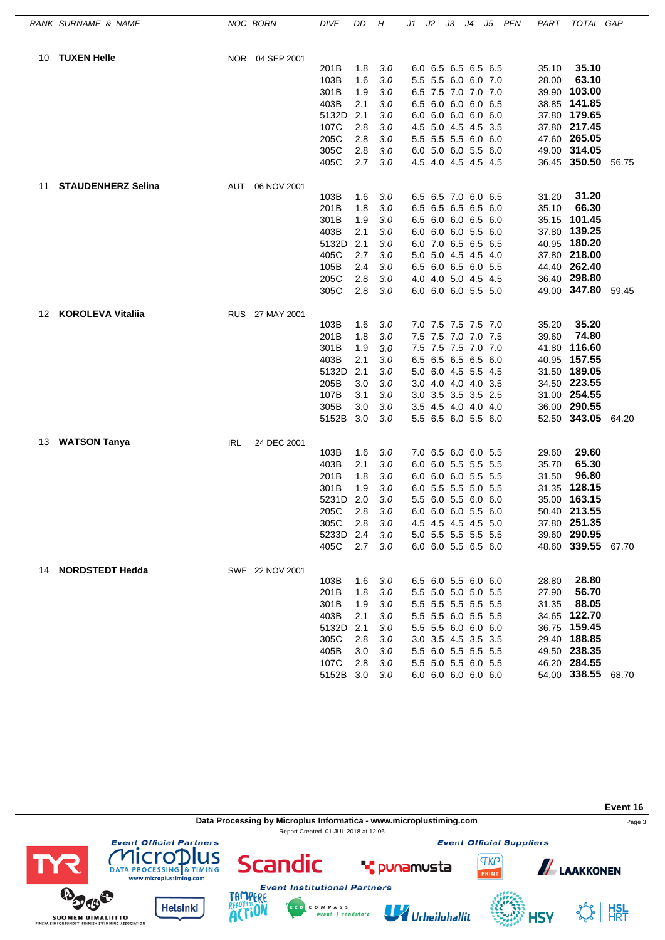|    | RANK SURNAME & NAME       |     | NOC BORN        | <b>DIVE</b> | DD  | Η          | J1 | J2 | JЗ                  | J4 | J5 | <b>PEN</b> | PART  | TOTAL GAP                    |       |
|----|---------------------------|-----|-----------------|-------------|-----|------------|----|----|---------------------|----|----|------------|-------|------------------------------|-------|
| 10 | <b>TUXEN Helle</b>        |     | NOR 04 SEP 2001 |             |     |            |    |    |                     |    |    |            |       |                              |       |
|    |                           |     |                 | 201B        | 1.8 | 3.0        |    |    | 6.0 6.5 6.5 6.5 6.5 |    |    |            | 35.10 | 35.10                        |       |
|    |                           |     |                 | 103B        | 1.6 | 3.0        |    |    | 5.5 5.5 6.0 6.0 7.0 |    |    |            | 28.00 | 63.10                        |       |
|    |                           |     |                 | 301B        | 1.9 | 3.0        |    |    | 6.5 7.5 7.0 7.0 7.0 |    |    |            |       | 39.90 103.00                 |       |
|    |                           |     |                 | 403B        | 2.1 | 3.0        |    |    | 6.5 6.0 6.0 6.0 6.5 |    |    |            |       | 38.85 141.85                 |       |
|    |                           |     |                 | 5132D       | 2.1 | 3.0        |    |    | 6.0 6.0 6.0 6.0 6.0 |    |    |            |       | 37.80 179.65                 |       |
|    |                           |     |                 | 107C        | 2.8 | 3.0        |    |    | 4.5 5.0 4.5 4.5 3.5 |    |    |            |       | 37.80 217.45                 |       |
|    |                           |     |                 | 205C        | 2.8 | 3.0        |    |    | 5.5 5.5 5.5 6.0 6.0 |    |    |            |       | 47.60 265.05                 |       |
|    |                           |     |                 | 305C        | 2.8 | 3.0        |    |    | 6.0 5.0 6.0 5.5 6.0 |    |    |            |       | 49.00 314.05                 |       |
|    |                           |     |                 | 405C        | 2.7 | 3.0        |    |    | 4.5 4.0 4.5 4.5 4.5 |    |    |            |       | 36.45 350.50 56.75           |       |
| 11 | <b>STAUDENHERZ Selina</b> | AUT | 06 NOV 2001     |             |     |            |    |    |                     |    |    |            |       |                              |       |
|    |                           |     |                 | 103B        | 1.6 | 3.0        |    |    | 6.5 6.5 7.0 6.0 6.5 |    |    |            | 31.20 | 31.20                        |       |
|    |                           |     |                 | 201B        | 1.8 | 3.0        |    |    | 6.5 6.5 6.5 6.5 6.0 |    |    |            | 35.10 | 66.30                        |       |
|    |                           |     |                 | 301B        | 1.9 | 3.0        |    |    | 6.5 6.0 6.0 6.5 6.0 |    |    |            |       | 35.15 101.45                 |       |
|    |                           |     |                 | 403B        | 2.1 | 3.0        |    |    | 6.0 6.0 6.0 5.5 6.0 |    |    |            | 37.80 | 139.25                       |       |
|    |                           |     |                 | 5132D       | 2.1 | 3.0        |    |    | 6.0 7.0 6.5 6.5 6.5 |    |    |            |       | 40.95 180.20                 |       |
|    |                           |     |                 | 405C        | 2.7 | 3.0        |    |    | 5.0 5.0 4.5 4.5 4.0 |    |    |            |       | 37.80 218.00                 |       |
|    |                           |     |                 | 105B        | 2.4 | 3.0        |    |    | 6.5 6.0 6.5 6.0 5.5 |    |    |            |       | 44.40 262.40                 |       |
|    |                           |     |                 | 205C        | 2.8 | 3.0        |    |    | 4.0 4.0 5.0 4.5 4.5 |    |    |            |       | 36.40 298.80                 |       |
|    |                           |     |                 | 305C        | 2.8 | 3.0        |    |    | 6.0 6.0 6.0 5.5 5.0 |    |    |            |       | 49.00 347.80                 | 59.45 |
| 12 | <b>KOROLEVA Vitalija</b>  |     | RUS 27 MAY 2001 |             |     |            |    |    |                     |    |    |            |       |                              |       |
|    |                           |     |                 | 103B        | 1.6 | 3.0        |    |    | 7.0 7.5 7.5 7.5 7.0 |    |    |            | 35.20 | 35.20                        |       |
|    |                           |     |                 | 201B        | 1.8 | 3.0        |    |    | 7.5 7.5 7.0 7.0 7.5 |    |    |            | 39.60 | 74.80                        |       |
|    |                           |     |                 | 301B        | 1.9 | 3.0        |    |    | 7.5 7.5 7.5 7.0 7.0 |    |    |            |       | 41.80 116.60                 |       |
|    |                           |     |                 | 403B        | 2.1 | 3.0        |    |    | 6.5 6.5 6.5 6.5 6.0 |    |    |            |       | 40.95 157.55<br>31.50 189.05 |       |
|    |                           |     |                 | 5132D       | 2.1 | 3.0        |    |    | 5.0 6.0 4.5 5.5 4.5 |    |    |            |       |                              |       |
|    |                           |     |                 | 205B        | 3.0 | 3.0        |    |    | 3.0 4.0 4.0 4.0 3.5 |    |    |            |       | 34.50 223.55                 |       |
|    |                           |     |                 | 107B        | 3.1 | 3.0        |    |    | 3.0 3.5 3.5 3.5 2.5 |    |    |            |       | 31.00 254.55                 |       |
|    |                           |     |                 | 305B        | 3.0 | 3.0<br>3.0 |    |    | 3.5 4.5 4.0 4.0 4.0 |    |    |            |       | 36.00 290.55<br>52.50 343.05 |       |
|    |                           |     |                 | 5152B       | 3.0 |            |    |    | 5.5 6.5 6.0 5.5 6.0 |    |    |            |       |                              | 64.20 |
| 13 | <b>WATSON Tanya</b>       | IRL | 24 DEC 2001     | 103B        | 1.6 | 3.0        |    |    | 7.0 6.5 6.0 6.0 5.5 |    |    |            | 29.60 | 29.60                        |       |
|    |                           |     |                 | 403B        | 2.1 | 3.0        |    |    | 6.0 6.0 5.5 5.5 5.5 |    |    |            | 35.70 | 65.30                        |       |
|    |                           |     |                 | 201B        | 1.8 | 3.0        |    |    | 6.0 6.0 6.0 5.5 5.5 |    |    |            | 31.50 | 96.80                        |       |
|    |                           |     |                 | 301B        | 1.9 | 3.0        |    |    | 6.0 5.5 5.5 5.0 5.5 |    |    |            | 31.35 | 128.15                       |       |
|    |                           |     |                 | 5231D       | 2.0 | 3.0        |    |    | 5.5 6.0 5.5 6.0 6.0 |    |    |            |       | 35.00 163.15                 |       |
|    |                           |     |                 | 205C        | 2.8 | 3.0        |    |    | 6.0 6.0 6.0 5.5 6.0 |    |    |            |       | 50.40 213.55                 |       |
|    |                           |     |                 | 305C        | 2.8 | 3.0        |    |    | 4.5 4.5 4.5 4.5 5.0 |    |    |            |       | 37.80 251.35                 |       |
|    |                           |     |                 | 5233D 2.4   |     | 3.0        |    |    | 5.0 5.5 5.5 5.5 5.5 |    |    |            |       | 39.60 290.95                 |       |
|    |                           |     |                 | 405C        | 2.7 | 3.0        |    |    | 6.0 6.0 5.5 6.5 6.0 |    |    |            |       | 48.60 339.55 67.70           |       |
|    | 14 NORDSTEDT Hedda        |     | SWE 22 NOV 2001 |             |     |            |    |    |                     |    |    |            |       |                              |       |
|    |                           |     |                 | 103B        | 1.6 | 3.0        |    |    | 6.5 6.0 5.5 6.0 6.0 |    |    |            | 28.80 | 28.80                        |       |
|    |                           |     |                 | 201B        | 1.8 | 3.0        |    |    | 5.5 5.0 5.0 5.0 5.5 |    |    |            | 27.90 | 56.70                        |       |
|    |                           |     |                 | 301B        | 1.9 | 3.0        |    |    | 5.5 5.5 5.5 5.5 5.5 |    |    |            | 31.35 | 88.05                        |       |
|    |                           |     |                 | 403B        | 2.1 | 3.0        |    |    | 5.5 5.5 6.0 5.5 5.5 |    |    |            |       | 34.65 122.70                 |       |
|    |                           |     |                 | 5132D       | 2.1 | 3.0        |    |    | 5.5 5.5 6.0 6.0 6.0 |    |    |            |       | 36.75 159.45                 |       |
|    |                           |     |                 | 305C        | 2.8 | 3.0        |    |    | 3.0 3.5 4.5 3.5 3.5 |    |    |            |       | 29.40 188.85                 |       |
|    |                           |     |                 | 405B        | 3.0 | 3.0        |    |    | 5.5 6.0 5.5 5.5 5.5 |    |    |            |       | 49.50 238.35                 |       |
|    |                           |     |                 | 107C        | 2.8 | 3.0        |    |    | 5.5 5.0 5.5 6.0 5.5 |    |    |            |       | 46.20 284.55                 |       |
|    |                           |     |                 | 5152B 3.0   |     | 3.0        |    |    | 6.0 6.0 6.0 6.0 6.0 |    |    |            |       | 54.00 338.55 68.70           |       |

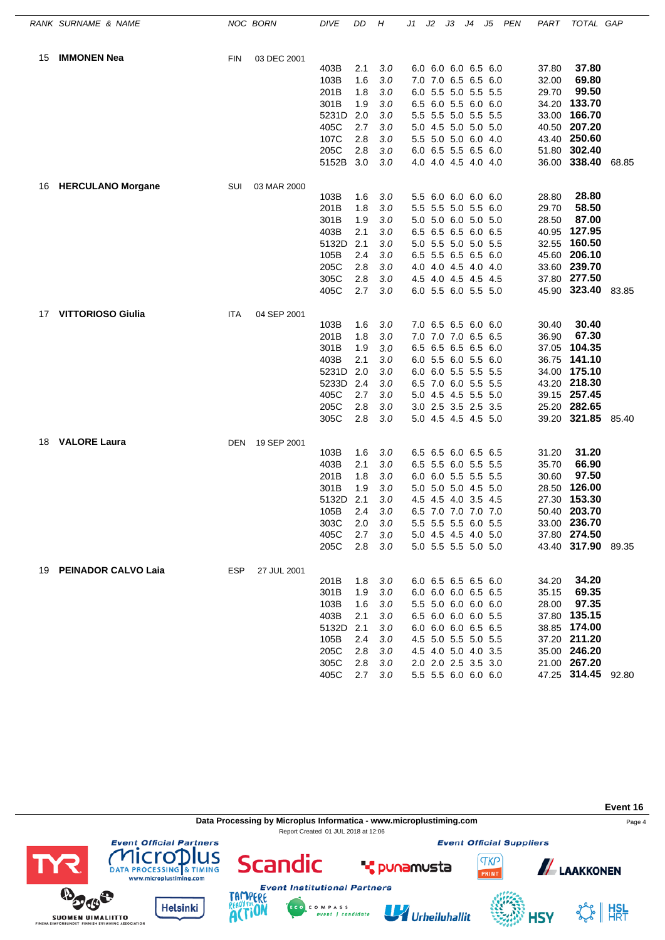|    | RANK SURNAME & NAME      |            | NOC BORN    | <b>DIVE</b>  | DD         | Н          | J1 | J2 | JЗ                                         | J4 | J5 | <b>PEN</b> | PART  | TOTAL GAP                          |  |
|----|--------------------------|------------|-------------|--------------|------------|------------|----|----|--------------------------------------------|----|----|------------|-------|------------------------------------|--|
| 15 | <b>IMMONEN Nea</b>       | <b>FIN</b> | 03 DEC 2001 |              |            |            |    |    |                                            |    |    |            |       |                                    |  |
|    |                          |            |             | 403B         | 2.1        | 3.0        |    |    | 6.0 6.0 6.0 6.5 6.0                        |    |    |            | 37.80 | 37.80                              |  |
|    |                          |            |             | 103B         | 1.6        | 3.0        |    |    | 7.0 7.0 6.5 6.5 6.0                        |    |    |            | 32.00 | 69.80                              |  |
|    |                          |            |             | 201B         | 1.8        | 3.0        |    |    | 6.0 5.5 5.0 5.5 5.5                        |    |    |            | 29.70 | 99.50                              |  |
|    |                          |            |             | 301B         | 1.9        | 3.0        |    |    | 6.5 6.0 5.5 6.0 6.0                        |    |    |            |       | 34.20 133.70                       |  |
|    |                          |            |             | 5231D        | 2.0        | 3.0        |    |    | 5.5 5.5 5.0 5.5 5.5                        |    |    |            |       | 33.00 166.70                       |  |
|    |                          |            |             | 405C         | 2.7        | 3.0        |    |    | 5.0 4.5 5.0 5.0 5.0                        |    |    |            |       | 40.50 207.20                       |  |
|    |                          |            |             | 107C         | 2.8        | 3.0        |    |    | 5.5 5.0 5.0 6.0 4.0                        |    |    |            |       | 43.40 250.60                       |  |
|    |                          |            |             | 205C         | 2.8        | $3.0\,$    |    |    | 6.0 6.5 5.5 6.5 6.0                        |    |    |            |       | 51.80 302.40                       |  |
|    |                          |            |             | 5152B        | 3.0        | 3.0        |    |    | 4.0 4.0 4.5 4.0 4.0                        |    |    |            |       | 36.00 338.40 68.85                 |  |
| 16 | <b>HERCULANO Morgane</b> | SUI        | 03 MAR 2000 |              |            |            |    |    |                                            |    |    |            |       |                                    |  |
|    |                          |            |             | 103B         | 1.6        | 3.0        |    |    | 5.5 6.0 6.0 6.0 6.0                        |    |    |            | 28.80 | 28.80                              |  |
|    |                          |            |             | 201B         | 1.8        | 3.0        |    |    | 5.5 5.5 5.0 5.5 6.0                        |    |    |            | 29.70 | 58.50                              |  |
|    |                          |            |             | 301B         | 1.9        | 3.0        |    |    | 5.0 5.0 6.0 5.0 5.0                        |    |    |            | 28.50 | 87.00                              |  |
|    |                          |            |             | 403B         | 2.1        | 3.0        |    |    | 6.5 6.5 6.5 6.0 6.5                        |    |    |            | 40.95 | 127.95                             |  |
|    |                          |            |             | 5132D        | 2.1        | 3.0        |    |    | 5.0 5.5 5.0 5.0 5.5                        |    |    |            | 32.55 | 160.50                             |  |
|    |                          |            |             | 105B         | 2.4        | 3.0        |    |    | 6.5 5.5 6.5 6.5 6.0                        |    |    |            | 45.60 | 206.10                             |  |
|    |                          |            |             | 205C         | 2.8        | 3.0        |    |    | 4.0 4.0 4.5 4.0 4.0                        |    |    |            |       | 33.60 239.70                       |  |
|    |                          |            |             | 305C         | 2.8<br>2.7 | 3.0<br>3.0 |    |    | 4.5 4.0 4.5 4.5 4.5<br>6.0 5.5 6.0 5.5 5.0 |    |    |            |       | 37.80 277.50<br>45.90 323.40 83.85 |  |
|    |                          |            |             | 405C         |            |            |    |    |                                            |    |    |            |       |                                    |  |
| 17 | <b>VITTORIOSO Giulia</b> | ITA        | 04 SEP 2001 |              |            |            |    |    |                                            |    |    |            |       |                                    |  |
|    |                          |            |             | 103B         | 1.6        | 3.0        |    |    | 7.0 6.5 6.5 6.0 6.0                        |    |    |            | 30.40 | 30.40                              |  |
|    |                          |            |             | 201B<br>301B | 1.8<br>1.9 | 3.0        |    |    | 7.0 7.0 7.0 6.5 6.5                        |    |    |            | 36.90 | 67.30<br>37.05 104.35              |  |
|    |                          |            |             | 403B         | 2.1        | 3.0<br>3.0 |    |    | 6.5 6.5 6.5 6.5 6.0<br>6.0 5.5 6.0 5.5 6.0 |    |    |            |       | 36.75 141.10                       |  |
|    |                          |            |             | 5231D        | 2.0        | 3.0        |    |    | 6.0 6.0 5.5 5.5 5.5                        |    |    |            |       | 34.00 175.10                       |  |
|    |                          |            |             | 5233D        | 2.4        | 3.0        |    |    | 6.5 7.0 6.0 5.5 5.5                        |    |    |            |       | 43.20 218.30                       |  |
|    |                          |            |             | 405C         | 2.7        | 3.0        |    |    | 5.0 4.5 4.5 5.5 5.0                        |    |    |            |       | 39.15 257.45                       |  |
|    |                          |            |             | 205C         | 2.8        | 3.0        |    |    | 3.0 2.5 3.5 2.5 3.5                        |    |    |            |       | 25.20 282.65                       |  |
|    |                          |            |             | 305C         | 2.8        | $3.0\,$    |    |    | 5.0 4.5 4.5 4.5 5.0                        |    |    |            |       | 39.20 321.85 85.40                 |  |
| 18 | <b>VALORE Laura</b>      | DEN        | 19 SEP 2001 |              |            |            |    |    |                                            |    |    |            |       |                                    |  |
|    |                          |            |             | 103B         | 1.6        | 3.0        |    |    | 6.5 6.5 6.0 6.5 6.5                        |    |    |            | 31.20 | 31.20                              |  |
|    |                          |            |             | 403B         | 2.1        | 3.0        |    |    | 6.5 5.5 6.0 5.5 5.5                        |    |    |            | 35.70 | 66.90                              |  |
|    |                          |            |             | 201B         | 1.8        | 3.0        |    |    | 6.0 6.0 5.5 5.5 5.5                        |    |    |            | 30.60 | 97.50                              |  |
|    |                          |            |             | 301B         | 1.9        | 3.0        |    |    | 5.0 5.0 5.0 4.5 5.0                        |    |    |            |       | 28.50 126.00                       |  |
|    |                          |            |             | 5132D        | 2.1        | 3.0        |    |    | 4.5 4.5 4.0 3.5 4.5                        |    |    |            |       | 27.30 153.30                       |  |
|    |                          |            |             | 105B         | 2.4        | 3.0        |    |    | 6.5 7.0 7.0 7.0 7.0                        |    |    |            |       | 50.40 203.70                       |  |
|    |                          |            |             | 303C         | 2.0        | 3.0        |    |    | 5.5 5.5 5.5 6.0 5.5                        |    |    |            |       | 33.00 236.70                       |  |
|    |                          |            |             | 405C         | 2.7        | 3.0        |    |    | 5.0 4.5 4.5 4.0 5.0                        |    |    |            |       | 37.80 274.50                       |  |
|    |                          |            |             | 205C         | 2.8        | 3.0        |    |    | 5.0 5.5 5.5 5.0 5.0                        |    |    |            |       | 43.40 317.90 89.35                 |  |
|    | 19 PEINADOR CALVO Laia   | ESP        | 27 JUL 2001 |              |            |            |    |    |                                            |    |    |            |       |                                    |  |
|    |                          |            |             | 201B         | 1.8        | 3.0        |    |    | 6.0 6.5 6.5 6.5 6.0                        |    |    |            | 34.20 | 34.20                              |  |
|    |                          |            |             | 301B         | 1.9        | 3.0        |    |    | 6.0 6.0 6.0 6.5 6.5                        |    |    |            | 35.15 | 69.35                              |  |
|    |                          |            |             | 103B         | 1.6        | 3.0        |    |    | 5.5 5.0 6.0 6.0 6.0                        |    |    |            | 28.00 | 97.35                              |  |
|    |                          |            |             | 403B         | 2.1        | 3.0        |    |    | 6.5 6.0 6.0 6.0 5.5                        |    |    |            |       | 37.80 135.15                       |  |
|    |                          |            |             | 5132D        | 2.1        | 3.0        |    |    | 6.0 6.0 6.0 6.5 6.5                        |    |    |            |       | 38.85 174.00                       |  |
|    |                          |            |             | 105B         | 2.4        | 3.0        |    |    | 4.5 5.0 5.5 5.0 5.5                        |    |    |            |       | 37.20 211.20                       |  |
|    |                          |            |             | 205C         | 2.8        | 3.0        |    |    | 4.5 4.0 5.0 4.0 3.5                        |    |    |            |       | 35.00 246.20<br>21.00 267.20       |  |
|    |                          |            |             | 305C         | 2.8<br>2.7 | 3.0        |    |    | 2.0 2.0 2.5 3.5 3.0                        |    |    |            |       | 47.25 314.45 92.80                 |  |
|    |                          |            |             | 405C         |            | 3.0        |    |    | 5.5 5.5 6.0 6.0 6.0                        |    |    |            |       |                                    |  |